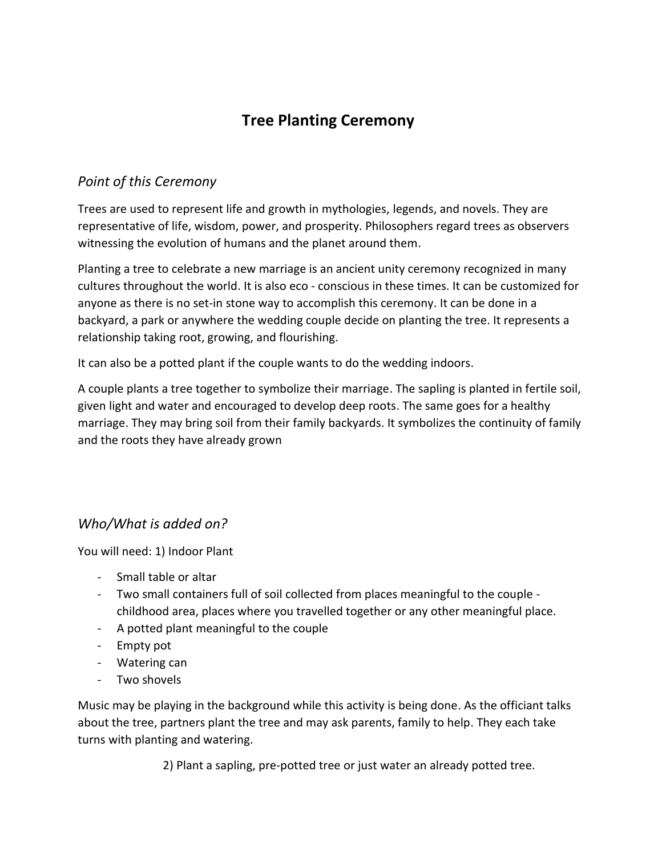# **Tree Planting Ceremony**

## *Point of this Ceremony*

Trees are used to represent life and growth in mythologies, legends, and novels. They are representative of life, wisdom, power, and prosperity. Philosophers regard trees as observers witnessing the evolution of humans and the planet around them.

Planting a tree to celebrate a new marriage is an ancient unity ceremony recognized in many cultures throughout the world. It is also eco - conscious in these times. It can be customized for anyone as there is no set-in stone way to accomplish this ceremony. It can be done in a backyard, a park or anywhere the wedding couple decide on planting the tree. It represents a relationship taking root, growing, and flourishing.

It can also be a potted plant if the couple wants to do the wedding indoors.

A couple plants a tree together to symbolize their marriage. The sapling is planted in fertile soil, given light and water and encouraged to develop deep roots. The same goes for a healthy marriage. They may bring soil from their family backyards. It symbolizes the continuity of family and the roots they have already grown

## *Who/What is added on?*

You will need: 1) Indoor Plant

- Small table or altar
- Two small containers full of soil collected from places meaningful to the couple childhood area, places where you travelled together or any other meaningful place.
- A potted plant meaningful to the couple
- Empty pot
- Watering can
- Two shovels

Music may be playing in the background while this activity is being done. As the officiant talks about the tree, partners plant the tree and may ask parents, family to help. They each take turns with planting and watering.

2) Plant a sapling, pre-potted tree or just water an already potted tree.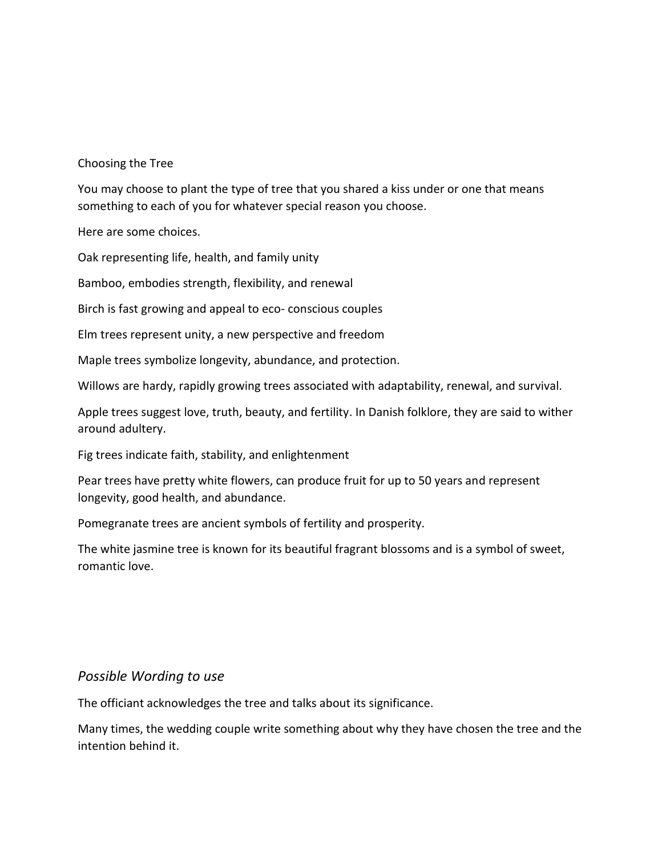#### Choosing the Tree

You may choose to plant the type of tree that you shared a kiss under or one that means something to each of you for whatever special reason you choose.

Here are some choices.

Oak representing life, health, and family unity

Bamboo, embodies strength, flexibility, and renewal

Birch is fast growing and appeal to eco- conscious couples

Elm trees represent unity, a new perspective and freedom

Maple trees symbolize longevity, abundance, and protection.

Willows are hardy, rapidly growing trees associated with adaptability, renewal, and survival.

Apple trees suggest love, truth, beauty, and fertility. In Danish folklore, they are said to wither around adultery.

Fig trees indicate faith, stability, and enlightenment

Pear trees have pretty white flowers, can produce fruit for up to 50 years and represent longevity, good health, and abundance.

Pomegranate trees are ancient symbols of fertility and prosperity.

The white jasmine tree is known for its beautiful fragrant blossoms and is a symbol of sweet, romantic love.

#### *Possible Wording to use*

The officiant acknowledges the tree and talks about its significance.

Many times, the wedding couple write something about why they have chosen the tree and the intention behind it.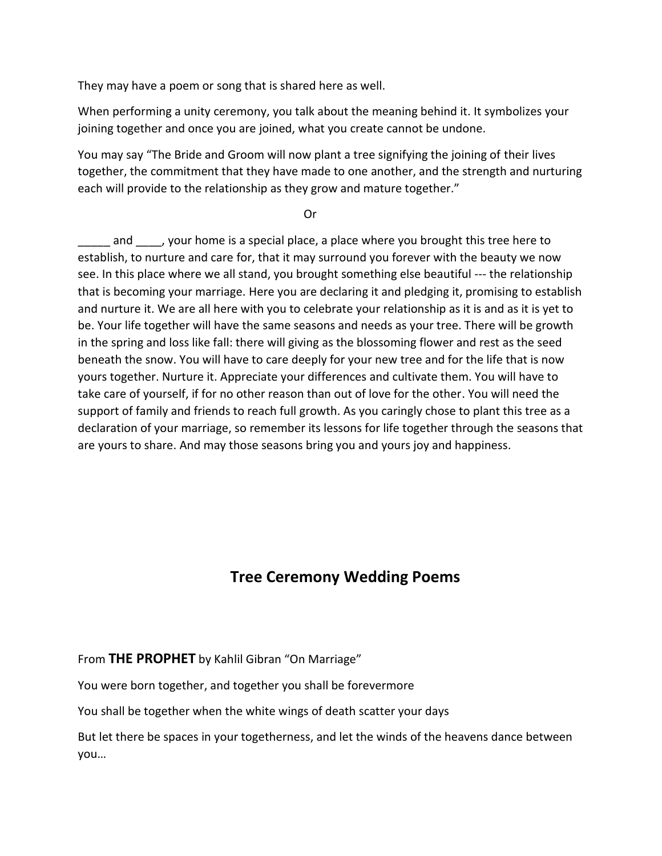They may have a poem or song that is shared here as well.

When performing a unity ceremony, you talk about the meaning behind it. It symbolizes your joining together and once you are joined, what you create cannot be undone.

You may say "The Bride and Groom will now plant a tree signifying the joining of their lives together, the commitment that they have made to one another, and the strength and nurturing each will provide to the relationship as they grow and mature together."

**Oriented States of the Contract Oriented States of the Contract Oriented States of the Contract Oriented States** 

and and and and a special place, a place where you brought this tree here to establish, to nurture and care for, that it may surround you forever with the beauty we now see. In this place where we all stand, you brought something else beautiful --- the relationship that is becoming your marriage. Here you are declaring it and pledging it, promising to establish and nurture it. We are all here with you to celebrate your relationship as it is and as it is yet to be. Your life together will have the same seasons and needs as your tree. There will be growth in the spring and loss like fall: there will giving as the blossoming flower and rest as the seed beneath the snow. You will have to care deeply for your new tree and for the life that is now yours together. Nurture it. Appreciate your differences and cultivate them. You will have to take care of yourself, if for no other reason than out of love for the other. You will need the support of family and friends to reach full growth. As you caringly chose to plant this tree as a declaration of your marriage, so remember its lessons for life together through the seasons that are yours to share. And may those seasons bring you and yours joy and happiness.

## **Tree Ceremony Wedding Poems**

#### From **THE PROPHET** by Kahlil Gibran "On Marriage"

You were born together, and together you shall be forevermore

You shall be together when the white wings of death scatter your days

But let there be spaces in your togetherness, and let the winds of the heavens dance between you…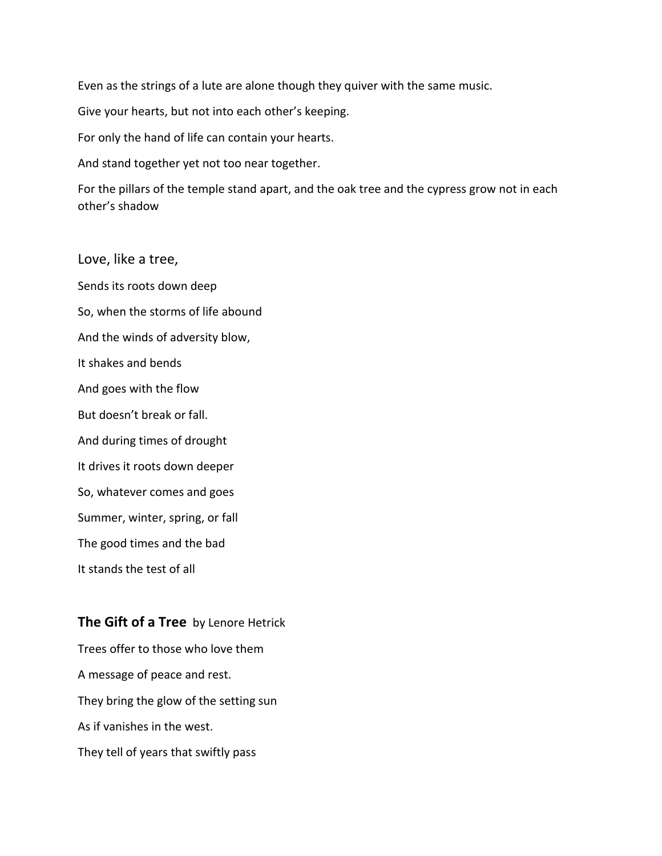Even as the strings of a lute are alone though they quiver with the same music.

Give your hearts, but not into each other's keeping.

For only the hand of life can contain your hearts.

And stand together yet not too near together.

For the pillars of the temple stand apart, and the oak tree and the cypress grow not in each other's shadow

Love, like a tree, Sends its roots down deep So, when the storms of life abound And the winds of adversity blow, It shakes and bends And goes with the flow But doesn't break or fall. And during times of drought It drives it roots down deeper So, whatever comes and goes Summer, winter, spring, or fall The good times and the bad It stands the test of all

#### **The Gift of a Tree** by Lenore Hetrick

Trees offer to those who love them A message of peace and rest. They bring the glow of the setting sun As if vanishes in the west. They tell of years that swiftly pass